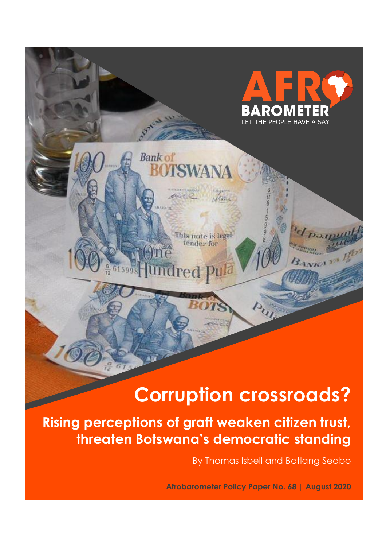# **Corruption crossroads?**

**Rising perceptions of graft weaken citizen trust, threaten Botswana's democratic standing**

**Bank of** 

**SWANA** 

This note is legaltender for

dred Pula

Jone

By Thomas Isbell and Batlang Seabo

PEOPLE HAVE A SAY

ANKA<sup>3</sup>

**Afrobarometer Policy Paper No. 68 | August 2020**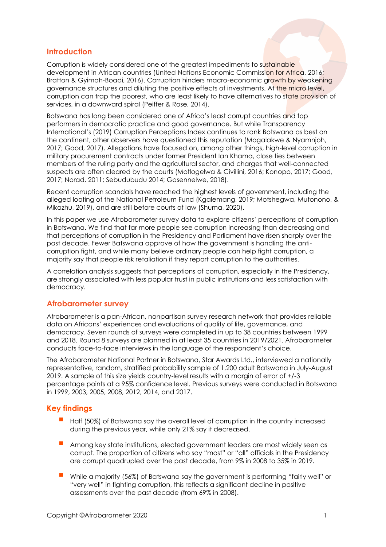## **Introduction**

Corruption is widely considered one of the greatest impediments to sustainable development in African countries (United Nations Economic Commission for Africa, 2016; Bratton & Gyimah-Boadi, 2016). Corruption hinders macro-economic growth by weakening governance structures and diluting the positive effects of investments. At the micro level, corruption can trap the poorest, who are least likely to have alternatives to state provision of services, in a downward spiral (Peiffer & Rose, 2014).

Botswana has long been considered one of Africa's least corrupt countries and top performers in democratic practice and good governance. But while Transparency International's (2019) Corruption Perceptions Index continues to rank Botswana as best on the continent, other observers have questioned this reputation (Mogalakwe & Nyamnjoh, 2017; Good, 2017). Allegations have focused on, among other things, high-level corruption in military procurement contracts under former President Ian Khama, close ties between members of the ruling party and the agricultural sector, and charges that well-connected suspects are often cleared by the courts (Motlogelwa & Civillini, 2016; Konopo, 2017; Good, 2017; Norad, 2011; Sebudubudu 2014; Gasennelwe, 2018).

Recent corruption scandals have reached the highest levels of government, including the alleged looting of the National Petroleum Fund (Kgalemang, 2019; Motshegwa, Mutonono, & Mikazhu, 2019), and are still before courts of law (Shuma, 2020).

In this paper we use Afrobarometer survey data to explore citizens' perceptions of corruption in Botswana. We find that far more people see corruption increasing than decreasing and that perceptions of corruption in the Presidency and Parliament have risen sharply over the past decade. Fewer Batswana approve of how the government is handling the anticorruption fight, and while many believe ordinary people can help fight corruption, a majority say that people risk retaliation if they report corruption to the authorities.

A correlation analysis suggests that perceptions of corruption, especially in the Presidency, are strongly associated with less popular trust in public institutions and less satisfaction with democracy.

#### **Afrobarometer survey**

Afrobarometer is a pan-African, nonpartisan survey research network that provides reliable data on Africans' experiences and evaluations of quality of life, governance, and democracy. Seven rounds of surveys were completed in up to 38 countries between 1999 and 2018. Round 8 surveys are planned in at least 35 countries in 2019/2021. Afrobarometer conducts face-to-face interviews in the language of the respondent's choice.

The Afrobarometer National Partner in Botswana, Star Awards Ltd., interviewed a nationally representative, random, stratified probability sample of 1,200 adult Batswana in July-August 2019. A sample of this size yields country-level results with a margin of error of +/-3 percentage points at a 95% confidence level. Previous surveys were conducted in Botswana in 1999, 2003, 2005, 2008, 2012, 2014, and 2017.

#### **Key findings**

- Half (50%) of Batswana say the overall level of corruption in the country increased during the previous year, while only 21% say it decreased.
- Among key state institutions, elected government leaders are most widely seen as corrupt. The proportion of citizens who say "most" or "all" officials in the Presidency are corrupt quadrupled over the past decade, from 9% in 2008 to 35% in 2019.
- While a majority (56%) of Batswana say the government is performing "fairly well" or "very well" in fighting corruption, this reflects a significant decline in positive assessments over the past decade (from 69% in 2008).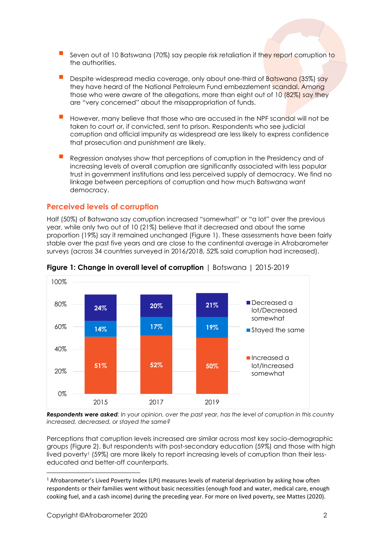- Seven out of 10 Batswana (70%) say people risk retaliation if they report corruption to the authorities.
- Despite widespread media coverage, only about one-third of Batswana (35%) say they have heard of the National Petroleum Fund embezzlement scandal. Among those who were aware of the allegations, more than eight out of 10 (82%) say they are "very concerned" about the misappropriation of funds.
- However, many believe that those who are accused in the NPF scandal will not be taken to court or, if convicted, sent to prison. Respondents who see judicial corruption and official impunity as widespread are less likely to express confidence that prosecution and punishment are likely.
- Regression analyses show that perceptions of corruption in the Presidency and of increasing levels of overall corruption are significantly associated with less popular trust in government institutions and less perceived supply of democracy. We find no linkage between perceptions of corruption and how much Batswana want democracy.

## **Perceived levels of corruption**

Half (50%) of Batswana say corruption increased "somewhat" or "a lot" over the previous year, while only two out of 10 (21%) believe that it decreased and about the same proportion (19%) say it remained unchanged (Figure 1). These assessments have been fairly stable over the past five years and are close to the continental average in Afrobarometer surveys (across 34 countries surveyed in 2016/2018, 52% said corruption had increased).



**Figure 1: Change in overall level of corruption** | Botswana | 2015-2019

*Respondents were asked: In your opinion, over the past year, has the level of corruption in this country increased, decreased, or stayed the same?*

Perceptions that corruption levels increased are similar across most key socio-demographic groups (Figure 2). But respondents with post-secondary education (59%) and those with high lived poverty<sup>1</sup> (59%) are more likely to report increasing levels of corruption than their lesseducated and better-off counterparts.

<sup>&</sup>lt;sup>1</sup> Afrobarometer's Lived Poverty Index (LPI) measures levels of material deprivation by asking how often respondents or their families went without basic necessities (enough food and water, medical care, enough cooking fuel, and a cash income) during the preceding year. For more on lived poverty, see Mattes (2020).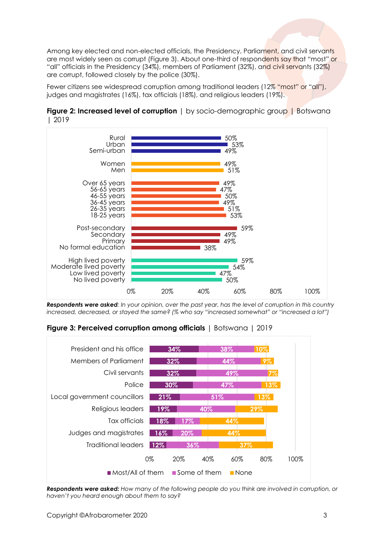Among key elected and non-elected officials, the Presidency, Parliament, and civil servants are most widely seen as corrupt (Figure 3). About one-third of respondents say that "most" or "all" officials in the Presidency (34%), members of Parliament (32%), and civil servants (32%) are corrupt, followed closely by the police (30%).

Fewer citizens see widespread corruption among traditional leaders (12% "most" or "all"), judges and magistrates (16%), tax officials (18%), and religious leaders (19%).

**Figure 2: Increased level of corruption** | by socio-demographic group | Botswana | 2019



*Respondents were asked: In your opinion, over the past year, has the level of corruption in this country increased, decreased, or stayed the same? (% who say "increased somewhat" or "increased a lot")*

**Figure 3: Perceived corruption among officials** | Botswana | 2019



*Respondents were asked: How many of the following people do you think are involved in corruption, or haven't you heard enough about them to say?*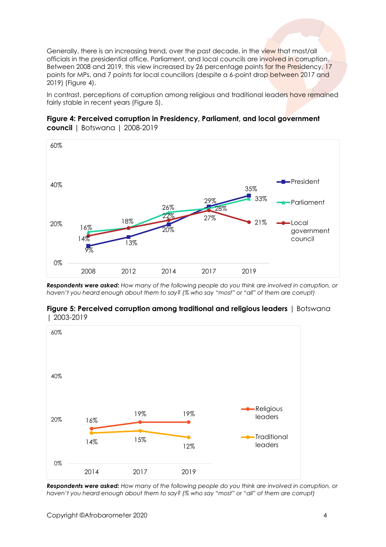Generally, there is an increasing trend, over the past decade, in the view that most/all officials in the presidential office, Parliament, and local councils are involved in corruption. Between 2008 and 2019, this view increased by 26 percentage points for the Presidency, 17 points for MPs, and 7 points for local councillors (despite a 6-point drop between 2017 and 2019) (Figure 4).

In contrast, perceptions of corruption among religious and traditional leaders have remained fairly stable in recent years (Figure 5).





*Respondents were asked: How many of the following people do you think are involved in corruption, or haven't you heard enough about them to say? (% who say "most" or "all" of them are corrupt)*





*Respondents were asked: How many of the following people do you think are involved in corruption, or haven't you heard enough about them to say? (% who say "most" or "all" of them are corrupt)*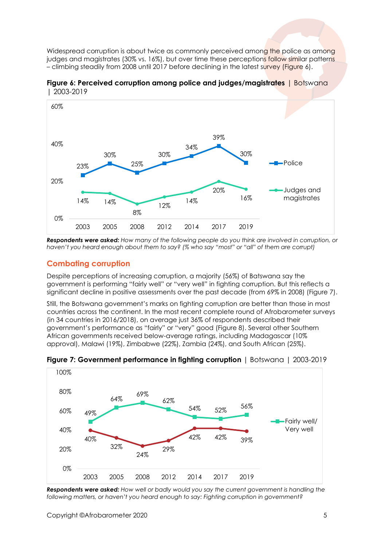Widespread corruption is about twice as commonly perceived among the police as among judges and magistrates (30% vs. 16%), but over time these perceptions follow similar patterns – climbing steadily from 2008 until 2017 before declining in the latest survey (Figure 6).

**Figure 6: Perceived corruption among police and judges/magistrates | Botswana** | 2003-2019



*Respondents were asked: How many of the following people do you think are involved in corruption, or haven't you heard enough about them to say? (% who say "most" or "all" of them are corrupt)*

## **Combating corruption**

Despite perceptions of increasing corruption, a majority (56%) of Batswana say the government is performing "fairly well" or "very well" in fighting corruption. But this reflects a significant decline in positive assessments over the past decade (from 69% in 2008) (Figure 7).

Still, the Botswana government's marks on fighting corruption are better than those in most countries across the continent. In the most recent complete round of Afrobarometer surveys (in 34 countries in 2016/2018), on average just 36% of respondents described their government's performance as "fairly" or "very" good (Figure 8). Several other Southern African governments received below-average ratings, including Madagascar (10% approval), Malawi (19%), Zimbabwe (22%), Zambia (24%), and South African (25%).



**Figure 7: Government performance in fighting corruption** | Botswana | 2003-2019

*Respondents were asked: How well or badly would you say the current government is handling the following matters, or haven't you heard enough to say: Fighting corruption in government?*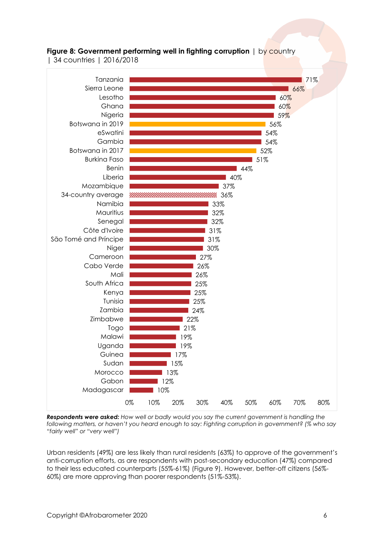

## **Figure 8: Government performing well in fighting corruption** | by country

| 34 countries | 2016/2018

*Respondents were asked: How well or badly would you say the current government is handling the*  following matters, or haven't you heard enough to say: Fighting corruption in government? (% who say *"fairly well" or "very well")*

Urban residents (49%) are less likely than rural residents (63%) to approve of the government's anti-corruption efforts, as are respondents with post-secondary education (47%) compared to their less educated counterparts (55%-61%) (Figure 9). However, better-off citizens (56%- 60%) are more approving than poorer respondents (51%-53%).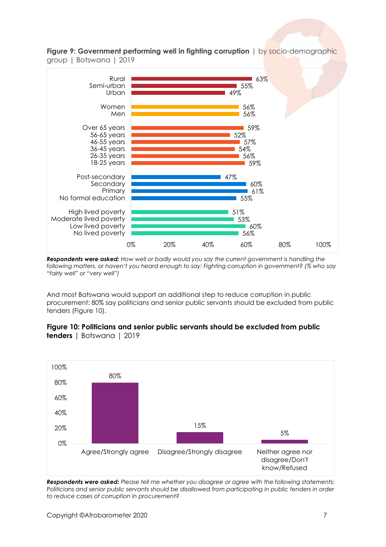**Figure 9: Government performing well in fighting corruption** | by socio-demographic group | Botswana | 2019



*Respondents were asked: How well or badly would you say the current government is handling the following matters, or haven't you heard enough to say: Fighting corruption in government? (% who say "fairly well" or "very well")*

And most Batswana would support an additional step to reduce corruption in public procurement: 80% say politicians and senior public servants should be excluded from public tenders (Figure 10).



### **Figure 10: Politicians and senior public servants should be excluded from public tenders** | Botswana | 2019

*Respondents were asked: Please tell me whether you disagree or agree with the following statements: Politicians and senior public servants should be disallowed from participating in public tenders in order to reduce cases of corruption in procurement?*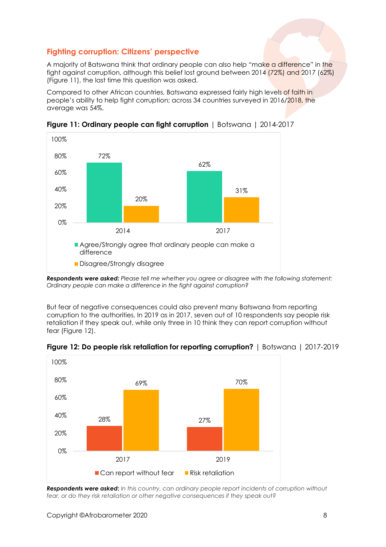## **Fighting corruption: Citizens' perspective**

A majority of Batswana think that ordinary people can also help "make a difference" in the fight against corruption, although this belief lost ground between 2014 (72%) and 2017 (62%) (Figure 11), the last time this question was asked.

Compared to other African countries, Batswana expressed fairly high levels of faith in people's ability to help fight corruption; across 34 countries surveyed in 2016/2018, the average was 54%.



**Figure 11: Ordinary people can fight corruption** | Botswana | 2014-2017

*Respondents were asked: Please tell me whether you agree or disagree with the following statement: Ordinary people can make a difference in the fight against corruption?*

But fear of negative consequences could also prevent many Batswana from reporting corruption to the authorities. In 2019 as in 2017, seven out of 10 respondents say people risk retaliation if they speak out, while only three in 10 think they can report corruption without fear (Figure 12).



**Figure 12: Do people risk retaliation for reporting corruption?** | Botswana | 2017-2019

*Respondents were asked***:** *In this country, can ordinary people report incidents of corruption without fear, or do they risk retaliation or other negative consequences if they speak out?*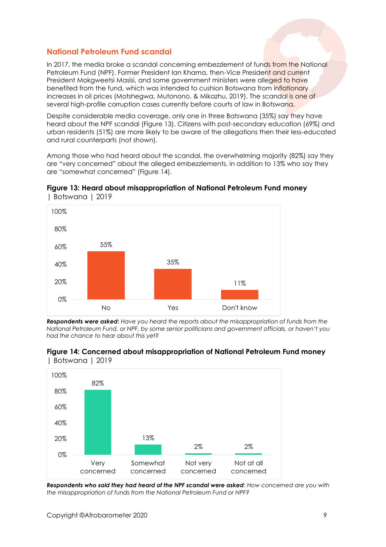## **National Petroleum Fund scandal**

In 2017, the media broke a scandal concerning embezzlement of funds from the National Petroleum Fund (NPF). Former President Ian Khama, then-Vice President and current President Mokgweetsi Masisi, and some government ministers were alleged to have benefited from the fund, which was intended to cushion Botswana from inflationary increases in oil prices (Motshegwa, Mutonono, & Mikazhu, 2019). The scandal is one of several high-profile corruption cases currently before courts of law in Botswana.

Despite considerable media coverage, only one in three Batswana (35%) say they have heard about the NPF scandal (Figure 13). Citizens with post-secondary education (69%) and urban residents (51%) are more likely to be aware of the allegations then their less-educated and rural counterparts (not shown).

Among those who had heard about the scandal, the overwhelming majority (82%) say they are "very concerned" about the alleged embezzlements, in addition to 13% who say they are "somewhat concerned" (Figure 14).



**Figure 13: Heard about misappropriation of National Petroleum Fund money**  | Botswana | 2019

*Respondents were asked***:** *Have you heard the reports about the misappropriation of funds from the National Petroleum Fund, or NPF, by some senior politicians and government officials, or haven't you had the chance to hear about this yet?*



**Figure 14: Concerned about misappropriation of National Petroleum Fund money**  | Botswana | 2019

*Respondents who said they had heard of the NPF scandal were asked*: *How concerned are you with the misappropriation of funds from the National Petroleum Fund or NPF?*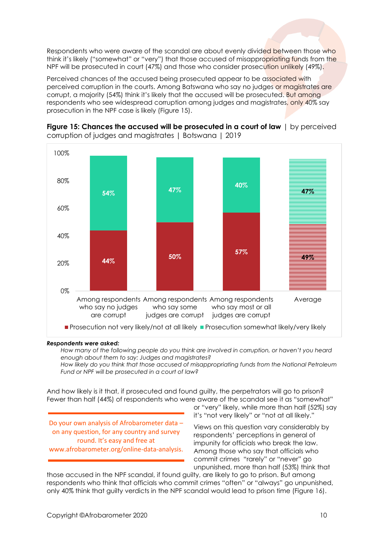Respondents who were aware of the scandal are about evenly divided between those who think it's likely ("somewhat" or "very") that those accused of misappropriating funds from the NPF will be prosecuted in court (47%) and those who consider prosecution unlikely (49%).

Perceived chances of the accused being prosecuted appear to be associated with perceived corruption in the courts. Among Batswana who say no judges or magistrates are corrupt, a majority (54%) think it's likely that the accused will be prosecuted. But among respondents who see widespread corruption among judges and magistrates, only 40% say prosecution in the NPF case is likely (Figure 15).



**Figure 15: Chances the accused will be prosecuted in a court of law** | by perceived corruption of judges and magistrates | Botswana | 2019

#### *Respondents were asked:*

*How many of the following people do you think are involved in corruption, or haven't you heard enough about them to say: Judges and magistrates? How likely do you think that those accused of misappropriating funds from the National Petroleum Fund or NPF will be prosecuted in a court of law?*

And how likely is it that, if prosecuted and found guilty, the perpetrators will go to prison? Fewer than half (44%) of respondents who were aware of the scandal see it as "somewhat"

Do your own analysis of Afrobarometer data – on any question, for any country and survey round. It's easy and free at www.afrobarometer.org/online-data-analysis.

or "very" likely, while more than half (52%) say it's "not very likely" or "not at all likely."

Views on this question vary considerably by respondents' perceptions in general of impunity for officials who break the law. Among those who say that officials who commit crimes "rarely" or "never" go unpunished, more than half (53%) think that

those accused in the NPF scandal, if found guilty, are likely to go to prison. But among respondents who think that officials who commit crimes "often" or "always" go unpunished, only 40% think that guilty verdicts in the NPF scandal would lead to prison time (Figure 16).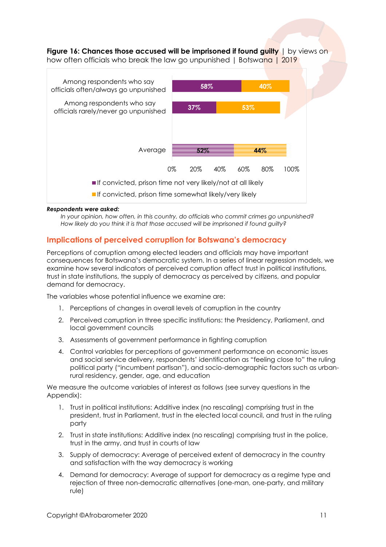**Figure 16: Chances those accused will be imprisoned if found guilty** | by views on how often officials who break the law go unpunished | Botswana | 2019



#### *Respondents were asked:*

*In your opinion, how often, in this country, do officials who commit crimes go unpunished? How likely do you think it is that those accused will be imprisoned if found guilty?*

### **Implications of perceived corruption for Botswana's democracy**

Perceptions of corruption among elected leaders and officials may have important consequences for Botswana's democratic system. In a series of linear regression models, we examine how several indicators of perceived corruption affect trust in political institutions, trust in state institutions, the supply of democracy as perceived by citizens, and popular demand for democracy.

The variables whose potential influence we examine are:

- 1. Perceptions of changes in overall levels of corruption in the country
- 2. Perceived corruption in three specific institutions: the Presidency, Parliament, and local government councils
- 3. Assessments of government performance in fighting corruption
- 4. Control variables for perceptions of government performance on economic issues and social service delivery, respondents' identification as "feeling close to" the ruling political party ("incumbent partisan"), and socio-demographic factors such as urbanrural residency, gender, age, and education

We measure the outcome variables of interest as follows (see survey questions in the Appendix):

- 1. Trust in political institutions: Additive index (no rescaling) comprising trust in the president, trust in Parliament, trust in the elected local council, and trust in the ruling party
- 2. Trust in state institutions: Additive index (no rescaling) comprising trust in the police, trust in the army, and trust in courts of law
- 3. Supply of democracy: Average of perceived extent of democracy in the country and satisfaction with the way democracy is working
- 4. Demand for democracy: Average of support for democracy as a regime type and rejection of three non-democratic alternatives (one-man, one-party, and military rule)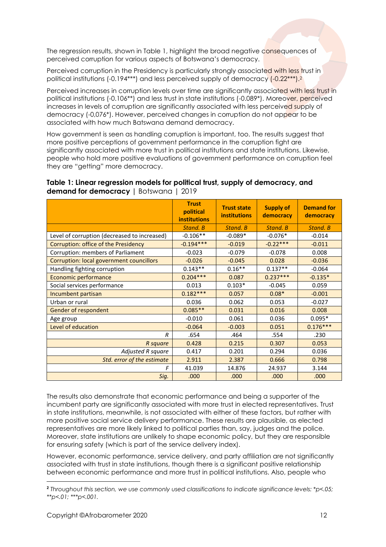The regression results, shown in Table 1, highlight the broad negative consequences of perceived corruption for various aspects of Botswana's democracy.

Perceived corruption in the Presidency is particularly strongly associated with less trust in political institutions (-0.194\*\*\*) and less perceived supply of democracy (-0.22\*\*\*).<sup>2</sup>

Perceived increases in corruption levels over time are significantly associated with less trust in political institutions (-0.106\*\*) and less trust in state institutions (-0.089\*). Moreover, perceived increases in levels of corruption are significantly associated with less perceived supply of democracy (-0,076\*). However, perceived changes in corruption do not appear to be associated with how much Batswana demand democracy.

How government is seen as handling corruption is important, too. The results suggest that more positive perceptions of government performance in the corruption fight are significantly associated with more trust in political institutions and state institutions. Likewise, people who hold more positive evaluations of government performance on corruption feel they are "getting" more democracy.

#### **Table 1: Linear regression models for political trust, supply of democracy, and demand for democracy |** Botswana | 2019

|                                                 | <b>Trust</b><br>political<br><b>institutions</b> | <b>Trust state</b><br><b>institutions</b> | <b>Supply of</b><br>democracy | <b>Demand for</b><br>democracy |
|-------------------------------------------------|--------------------------------------------------|-------------------------------------------|-------------------------------|--------------------------------|
|                                                 | Stand, B                                         | Stand, B                                  | Stand, B                      | Stand, B                       |
| Level of corruption (decreased to increased)    | $-0.106**$                                       | $-0.089*$                                 | $-0.076*$                     | $-0.014$                       |
| Corruption: office of the Presidency            | $-0.194***$                                      | $-0.019$                                  | $-0.22***$                    | $-0.011$                       |
| Corruption: members of Parliament               | $-0.023$                                         | $-0.079$                                  | $-0.078$                      | 0.008                          |
| <b>Corruption: local government councillors</b> | $-0.026$                                         | $-0.045$                                  | 0.028                         | $-0.036$                       |
| Handling fighting corruption                    | $0.143**$                                        | $0.16**$                                  | $0.137**$                     | $-0.064$                       |
| Economic performance                            | $0.204***$                                       | 0.087                                     | $0.237***$                    | $-0.135*$                      |
| Social services performance                     | 0.013                                            | $0.103*$                                  | $-0.045$                      | 0.059                          |
| Incumbent partisan                              | $0.182***$                                       | 0.057                                     | $0.08*$                       | $-0.001$                       |
| Urban or rural                                  | 0.036                                            | 0.062                                     | 0.053                         | $-0.027$                       |
| Gender of respondent                            | $0.085**$                                        | 0.031                                     | 0.016                         | 0.008                          |
| Age group                                       | $-0.010$                                         | 0.061                                     | 0.036                         | $0.095*$                       |
| Level of education                              | $-0.064$                                         | $-0.003$                                  | 0.051                         | $0.176***$                     |
| R                                               | .654                                             | .464                                      | .554                          | .230                           |
| R square                                        | 0.428                                            | 0.215                                     | 0.307                         | 0.053                          |
| Adjusted R square                               | 0.417                                            | 0.201                                     | 0.294                         | 0.036                          |
| Std. error of the estimate                      | 2.911                                            | 2.387                                     | 0.666                         | 0.798                          |
| F                                               | 41.039                                           | 14.876                                    | 24.937                        | 3.144                          |
| Sig.                                            | .000                                             | .000                                      | .000                          | .000                           |

The results also demonstrate that economic performance and being a supporter of the incumbent party are significantly associated with more trust in elected representatives. Trust in state institutions, meanwhile, is not associated with either of these factors, but rather with more positive social service delivery performance. These results are plausible, as elected representatives are more likely linked to political parties than, say, judges and the police. Moreover, state institutions are unlikely to shape economic policy, but they are responsible for ensuring safety (which is part of the service delivery index).

However, economic performance, service delivery, and party affiliation are not significantly associated with trust in state institutions, though there is a significant positive relationship between economic performance and more trust in political institutions. Also, people who

**<sup>2</sup>** *Throughout this section, we use commonly used classifications to indicate significance levels: \*p<.05; \*\*p<.01; \*\*\*p<.001.*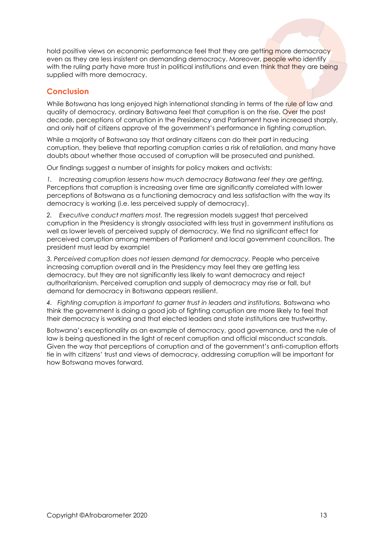hold positive views on economic performance feel that they are getting more democracy even as they are less insistent on demanding democracy. Moreover, people who identify with the ruling party have more trust in political institutions and even think that they are being supplied with more democracy.

## **Conclusion**

While Botswana has long enjoyed high international standing in terms of the rule of law and quality of democracy, ordinary Batswana feel that corruption is on the rise. Over the past decade, perceptions of corruption in the Presidency and Parliament have increased sharply, and only half of citizens approve of the government's performance in fighting corruption.

While a majority of Batswana say that ordinary citizens can do their part in reducing corruption, they believe that reporting corruption carries a risk of retaliation, and many have doubts about whether those accused of corruption will be prosecuted and punished.

Our findings suggest a number of insights for policy makers and activists:

*1. Increasing corruption lessens how much democracy Batswana feel they are getting.* Perceptions that corruption is increasing over time are significantly correlated with lower perceptions of Botswana as a functioning democracy and less satisfaction with the way its democracy is working (i.e. less perceived supply of democracy).

*2. Executive conduct matters most.* The regression models suggest that perceived corruption in the Presidency is strongly associated with less trust in government institutions as well as lower levels of perceived supply of democracy. We find no significant effect for perceived corruption among members of Parliament and local government councillors. The president must lead by example!

*3. Perceived corruption does not lessen demand for democracy.* People who perceive increasing corruption overall and in the Presidency may feel they are getting less democracy, but they are not significantly less likely to want democracy and reject authoritarianism. Perceived corruption and supply of democracy may rise or fall, but demand for democracy in Botswana appears resilient.

4. Fighting corruption is important to garner trust in leaders and institutions. Batswana who think the government is doing a good job of fighting corruption are more likely to feel that their democracy is working and that elected leaders and state institutions are trustworthy.

Botswana's exceptionality as an example of democracy, good governance, and the rule of law is being questioned in the light of recent corruption and official misconduct scandals. Given the way that perceptions of corruption and of the government's anti-corruption efforts tie in with citizens' trust and views of democracy, addressing corruption will be important for how Botswana moves forward.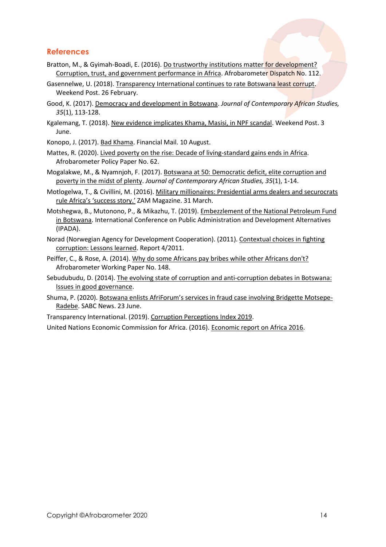## **References**

- Bratton, M., & Gyimah-Boadi, E. (2016). Do trustworthy institutions matter for development? [Corruption, trust, and government performance in Africa.](http://www.afrobarometer.org/publications/ad112-do-trustworthy-institutions-matter-development-corruption-trust-and-government) Afrobarometer Dispatch No. 112.
- Gasennelwe, U. (2018)[. Transparency International continues to rate Botswana least corrupt.](http://www.weekendpost.co.bw/wp-news-details.php?nid=4848) Weekend Post. 26 February.
- Good, K. (2017). [Democracy and development in Botswana.](https://doi.org/10.1080/02589001.2016.1249447) *Journal of Contemporary African Studies, 35*(1), 113-128.
- Kgalemang, T. (2018). [New evidence implicates Khama, Masisi, in NPF scandal.](http://www.weekendpost.co.bw/18365/news/new-evidence-implicates-khama-masisi-in-npf-scandal/) Weekend Post. 3 June.
- Konopo, J. (2017). [Bad Khama.](https://www.businesslive.co.za/fm/features/africa/2017-08-10-ian-khamas-growing-intolerance/) Financial Mail. 10 August.
- Mattes, R. (2020)[. Lived poverty on the rise: Decade of living-standard gains ends in Africa.](http://afrobarometer.org/publications/pp62-lived-poverty-rise-decade-living-standard-gains-ends-africa) Afrobarometer Policy Paper No. 62.
- Mogalakwe, M., & Nyamnjoh, F. (2017). [Botswana at 50: Democratic deficit, elite corruption and](https://doi.org/10.1080/02589001.2017.1286636)  [poverty in the midst of plenty.](https://doi.org/10.1080/02589001.2017.1286636) *Journal of Contemporary African Studies, 35*(1), 1-14.
- Motlogelwa, T., & Civillini, M. (2016). [Military millionaires: Presidential arms dealers and securocrats](https://www.zammagazine.com/chronicle/chronicle-20/317-military-millionaires)  [rule Africa's 'success story.'](https://www.zammagazine.com/chronicle/chronicle-20/317-military-millionaires) ZAM Magazine. 31 March.
- Motshegwa, B., Mutonono, P., & Mikazhu, T. (2019). [Embezzlement of the National Petroleum Fund](http://hdl.handle.net/10386/2724)  [in Botswana.](http://hdl.handle.net/10386/2724) International Conference on Public Administration and Development Alternatives (IPADA).
- Norad (Norwegian Agency for Development Cooperation). (2011)[. Contextual choices in fighting](https://norad.no/en/toolspublications/publications/2011/contextual-choices-in-fighting-corruption-lessons-learned/)  [corruption: Lessons learned.](https://norad.no/en/toolspublications/publications/2011/contextual-choices-in-fighting-corruption-lessons-learned/) Report 4/2011.
- Peiffer, C., & Rose, A. (2014). [Why do some Africans pay bribes while other Africans don't?](http://afrobarometer.org/publications/wp148-why-do-some-africans-pay-bribes-while-other-africans-dont) Afrobarometer Working Paper No. 148.
- Sebudubudu, D. (2014). [The evolving state of corruption and anti-corruption debates in Botswana:](http://anticorrp.eu/wp-content/uploads/2014/03/Botswana-Background-Report_final.pdf)  [Issues in good governance.](http://anticorrp.eu/wp-content/uploads/2014/03/Botswana-Background-Report_final.pdf)
- Shuma, P. (2020). [Botswana enlists AfriForum's services in fraud case involving Bridgette Motsepe](https://www.sabcnews.com/sabcnews/botswana-enlists-afriforums-services-in-fraud-case)-[Radebe.](https://www.sabcnews.com/sabcnews/botswana-enlists-afriforums-services-in-fraud-case) SABC News. 23 June.
- Transparency International. (2019)[. Corruption Perceptions Index 2019.](https://www.transparency.org/en/cpi/2019/results/sen)

United Nations Economic Commission for Africa. (2016)[. Economic report on Africa 2016.](https://www.uneca.org/publications/economic-report-africa-2016)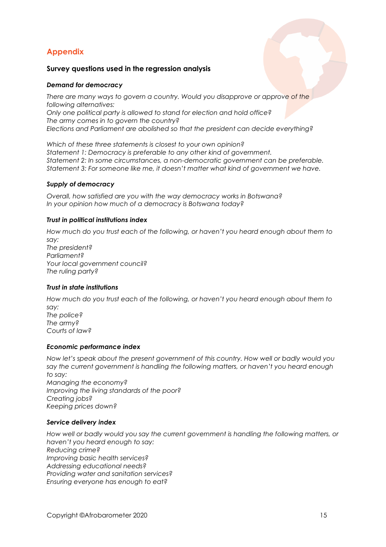# **Appendix**

#### **Survey questions used in the regression analysis**

#### *Demand for democracy*

*There are many ways to govern a country. Would you disapprove or approve of the following alternatives: Only one political party is allowed to stand for election and hold office? The army comes in to govern the country? Elections and Parliament are abolished so that the president can decide everything?*

*Which of these three statements is closest to your own opinion? Statement 1: Democracy is preferable to any other kind of government. Statement 2: In some circumstances, a non-democratic government can be preferable. Statement 3: For someone like me, it doesn't matter what kind of government we have.*

#### *Supply of democracy*

*Overall, how satisfied are you with the way democracy works in Botswana? In your opinion how much of a democracy is Botswana today?* 

#### *Trust in political institutions index*

*How much do you trust each of the following, or haven't you heard enough about them to say: The president? Parliament? Your local government council? The ruling party?*

#### *Trust in state institutions*

*How much do you trust each of the following, or haven't you heard enough about them to say: The police? The army? Courts of law?*

#### *Economic performance index*

*Now let's speak about the present government of this country. How well or badly would you say the current government is handling the following matters, or haven't you heard enough to say: Managing the economy? Improving the living standards of the poor? Creating jobs? Keeping prices down?* 

#### *Service delivery index*

*How well or badly would you say the current government is handling the following matters, or haven't you heard enough to say: Reducing crime? Improving basic health services? Addressing educational needs? Providing water and sanitation services? Ensuring everyone has enough to eat?*